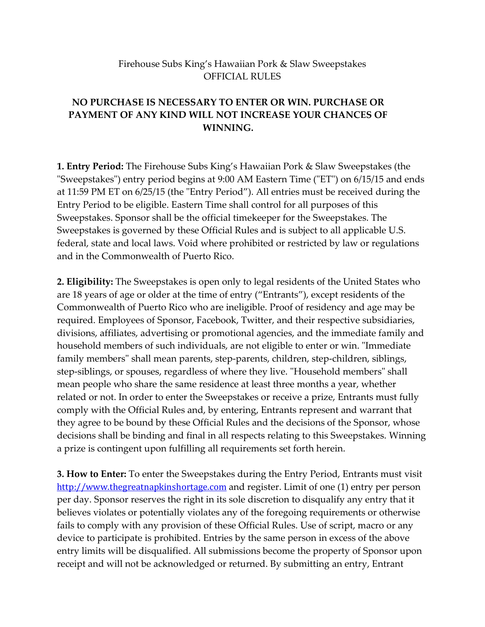## Firehouse Subs King's Hawaiian Pork & Slaw Sweepstakes OFFICIAL RULES

## **NO PURCHASE IS NECESSARY TO ENTER OR WIN. PURCHASE OR PAYMENT OF ANY KIND WILL NOT INCREASE YOUR CHANCES OF WINNING.**

**1. Entry Period:** The Firehouse Subs King's Hawaiian Pork & Slaw Sweepstakes (the "Sweepstakes") entry period begins at 9:00 AM Eastern Time ("ET") on 6/15/15 and ends at 11:59 PM ET on 6/25/15 (the "Entry Period"). All entries must be received during the Entry Period to be eligible. Eastern Time shall control for all purposes of this Sweepstakes. Sponsor shall be the official timekeeper for the Sweepstakes. The Sweepstakes is governed by these Official Rules and is subject to all applicable U.S. federal, state and local laws. Void where prohibited or restricted by law or regulations and in the Commonwealth of Puerto Rico.

**2. Eligibility:** The Sweepstakes is open only to legal residents of the United States who are 18 years of age or older at the time of entry ("Entrants"), except residents of the Commonwealth of Puerto Rico who are ineligible. Proof of residency and age may be required. Employees of Sponsor, Facebook, Twitter, and their respective subsidiaries, divisions, affiliates, advertising or promotional agencies, and the immediate family and household members of such individuals, are not eligible to enter or win. "Immediate family members" shall mean parents, step-parents, children, step-children, siblings, step-siblings, or spouses, regardless of where they live. "Household members" shall mean people who share the same residence at least three months a year, whether related or not. In order to enter the Sweepstakes or receive a prize, Entrants must fully comply with the Official Rules and, by entering, Entrants represent and warrant that they agree to be bound by these Official Rules and the decisions of the Sponsor, whose decisions shall be binding and final in all respects relating to this Sweepstakes. Winning a prize is contingent upon fulfilling all requirements set forth herein.

**3. How to Enter:** To enter the Sweepstakes during the Entry Period, Entrants must visit [http://www.thegreatnapkinshortage.com](http://www.thegreatnapkinshortage.com/) and register. Limit of one (1) entry per person per day. Sponsor reserves the right in its sole discretion to disqualify any entry that it believes violates or potentially violates any of the foregoing requirements or otherwise fails to comply with any provision of these Official Rules. Use of script, macro or any device to participate is prohibited. Entries by the same person in excess of the above entry limits will be disqualified. All submissions become the property of Sponsor upon receipt and will not be acknowledged or returned. By submitting an entry, Entrant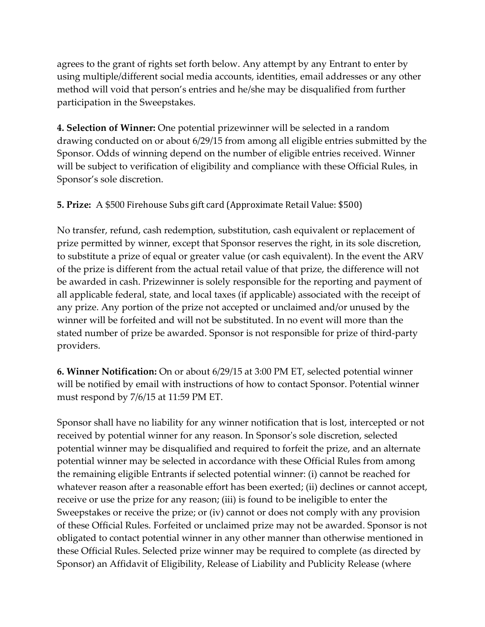agrees to the grant of rights set forth below. Any attempt by any Entrant to enter by using multiple/different social media accounts, identities, email addresses or any other method will void that person's entries and he/she may be disqualified from further participation in the Sweepstakes.

**4. Selection of Winner:** One potential prizewinner will be selected in a random drawing conducted on or about 6/29/15 from among all eligible entries submitted by the Sponsor. Odds of winning depend on the number of eligible entries received. Winner will be subject to verification of eligibility and compliance with these Official Rules, in Sponsor's sole discretion.

**5. Prize:** A \$500 Firehouse Subs gift card (Approximate Retail Value: \$500)

No transfer, refund, cash redemption, substitution, cash equivalent or replacement of prize permitted by winner, except that Sponsor reserves the right, in its sole discretion, to substitute a prize of equal or greater value (or cash equivalent). In the event the ARV of the prize is different from the actual retail value of that prize, the difference will not be awarded in cash. Prizewinner is solely responsible for the reporting and payment of all applicable federal, state, and local taxes (if applicable) associated with the receipt of any prize. Any portion of the prize not accepted or unclaimed and/or unused by the winner will be forfeited and will not be substituted. In no event will more than the stated number of prize be awarded. Sponsor is not responsible for prize of third-party providers.

**6. Winner Notification:** On or about 6/29/15 at 3:00 PM ET, selected potential winner will be notified by email with instructions of how to contact Sponsor. Potential winner must respond by 7/6/15 at 11:59 PM ET.

Sponsor shall have no liability for any winner notification that is lost, intercepted or not received by potential winner for any reason. In Sponsor's sole discretion, selected potential winner may be disqualified and required to forfeit the prize, and an alternate potential winner may be selected in accordance with these Official Rules from among the remaining eligible Entrants if selected potential winner: (i) cannot be reached for whatever reason after a reasonable effort has been exerted; (ii) declines or cannot accept, receive or use the prize for any reason; (iii) is found to be ineligible to enter the Sweepstakes or receive the prize; or (iv) cannot or does not comply with any provision of these Official Rules. Forfeited or unclaimed prize may not be awarded. Sponsor is not obligated to contact potential winner in any other manner than otherwise mentioned in these Official Rules. Selected prize winner may be required to complete (as directed by Sponsor) an Affidavit of Eligibility, Release of Liability and Publicity Release (where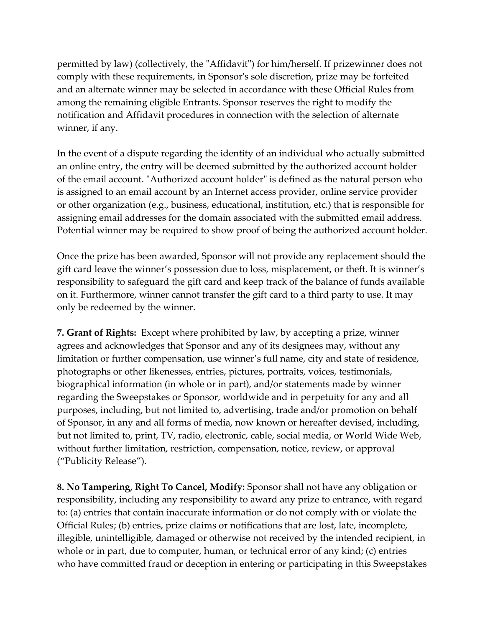permitted by law) (collectively, the "Affidavit") for him/herself. If prizewinner does not comply with these requirements, in Sponsor's sole discretion, prize may be forfeited and an alternate winner may be selected in accordance with these Official Rules from among the remaining eligible Entrants. Sponsor reserves the right to modify the notification and Affidavit procedures in connection with the selection of alternate winner, if any.

In the event of a dispute regarding the identity of an individual who actually submitted an online entry, the entry will be deemed submitted by the authorized account holder of the email account. "Authorized account holder" is defined as the natural person who is assigned to an email account by an Internet access provider, online service provider or other organization (e.g., business, educational, institution, etc.) that is responsible for assigning email addresses for the domain associated with the submitted email address. Potential winner may be required to show proof of being the authorized account holder.

Once the prize has been awarded, Sponsor will not provide any replacement should the gift card leave the winner's possession due to loss, misplacement, or theft. It is winner's responsibility to safeguard the gift card and keep track of the balance of funds available on it. Furthermore, winner cannot transfer the gift card to a third party to use. It may only be redeemed by the winner.

**7. Grant of Rights:** Except where prohibited by law, by accepting a prize, winner agrees and acknowledges that Sponsor and any of its designees may, without any limitation or further compensation, use winner's full name, city and state of residence, photographs or other likenesses, entries, pictures, portraits, voices, testimonials, biographical information (in whole or in part), and/or statements made by winner regarding the Sweepstakes or Sponsor, worldwide and in perpetuity for any and all purposes, including, but not limited to, advertising, trade and/or promotion on behalf of Sponsor, in any and all forms of media, now known or hereafter devised, including, but not limited to, print, TV, radio, electronic, cable, social media, or World Wide Web, without further limitation, restriction, compensation, notice, review, or approval ("Publicity Release").

**8. No Tampering, Right To Cancel, Modify:** Sponsor shall not have any obligation or responsibility, including any responsibility to award any prize to entrance, with regard to: (a) entries that contain inaccurate information or do not comply with or violate the Official Rules; (b) entries, prize claims or notifications that are lost, late, incomplete, illegible, unintelligible, damaged or otherwise not received by the intended recipient, in whole or in part, due to computer, human, or technical error of any kind; (c) entries who have committed fraud or deception in entering or participating in this Sweepstakes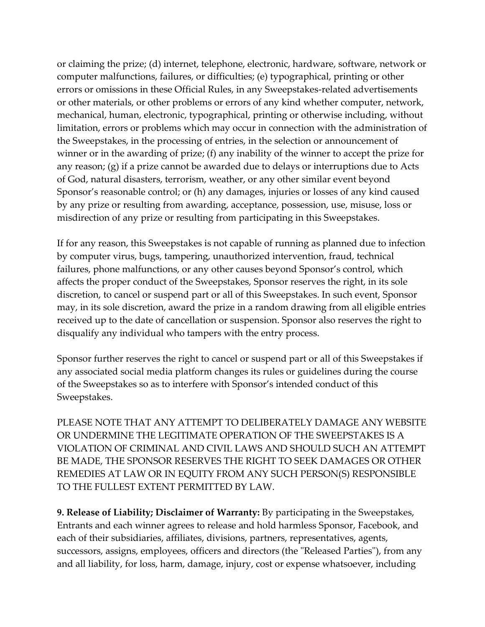or claiming the prize; (d) internet, telephone, electronic, hardware, software, network or computer malfunctions, failures, or difficulties; (e) typographical, printing or other errors or omissions in these Official Rules, in any Sweepstakes-related advertisements or other materials, or other problems or errors of any kind whether computer, network, mechanical, human, electronic, typographical, printing or otherwise including, without limitation, errors or problems which may occur in connection with the administration of the Sweepstakes, in the processing of entries, in the selection or announcement of winner or in the awarding of prize; (f) any inability of the winner to accept the prize for any reason; (g) if a prize cannot be awarded due to delays or interruptions due to Acts of God, natural disasters, terrorism, weather, or any other similar event beyond Sponsor's reasonable control; or (h) any damages, injuries or losses of any kind caused by any prize or resulting from awarding, acceptance, possession, use, misuse, loss or misdirection of any prize or resulting from participating in this Sweepstakes.

If for any reason, this Sweepstakes is not capable of running as planned due to infection by computer virus, bugs, tampering, unauthorized intervention, fraud, technical failures, phone malfunctions, or any other causes beyond Sponsor's control, which affects the proper conduct of the Sweepstakes, Sponsor reserves the right, in its sole discretion, to cancel or suspend part or all of this Sweepstakes. In such event, Sponsor may, in its sole discretion, award the prize in a random drawing from all eligible entries received up to the date of cancellation or suspension. Sponsor also reserves the right to disqualify any individual who tampers with the entry process.

Sponsor further reserves the right to cancel or suspend part or all of this Sweepstakes if any associated social media platform changes its rules or guidelines during the course of the Sweepstakes so as to interfere with Sponsor's intended conduct of this Sweepstakes.

PLEASE NOTE THAT ANY ATTEMPT TO DELIBERATELY DAMAGE ANY WEBSITE OR UNDERMINE THE LEGITIMATE OPERATION OF THE SWEEPSTAKES IS A VIOLATION OF CRIMINAL AND CIVIL LAWS AND SHOULD SUCH AN ATTEMPT BE MADE, THE SPONSOR RESERVES THE RIGHT TO SEEK DAMAGES OR OTHER REMEDIES AT LAW OR IN EQUITY FROM ANY SUCH PERSON(S) RESPONSIBLE TO THE FULLEST EXTENT PERMITTED BY LAW.

**9. Release of Liability; Disclaimer of Warranty:** By participating in the Sweepstakes, Entrants and each winner agrees to release and hold harmless Sponsor, Facebook, and each of their subsidiaries, affiliates, divisions, partners, representatives, agents, successors, assigns, employees, officers and directors (the "Released Parties"), from any and all liability, for loss, harm, damage, injury, cost or expense whatsoever, including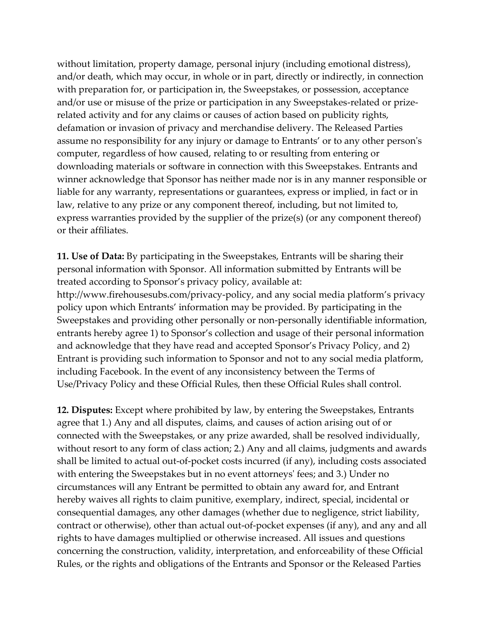without limitation, property damage, personal injury (including emotional distress), and/or death, which may occur, in whole or in part, directly or indirectly, in connection with preparation for, or participation in, the Sweepstakes, or possession, acceptance and/or use or misuse of the prize or participation in any Sweepstakes-related or prizerelated activity and for any claims or causes of action based on publicity rights, defamation or invasion of privacy and merchandise delivery. The Released Parties assume no responsibility for any injury or damage to Entrants' or to any other person's computer, regardless of how caused, relating to or resulting from entering or downloading materials or software in connection with this Sweepstakes. Entrants and winner acknowledge that Sponsor has neither made nor is in any manner responsible or liable for any warranty, representations or guarantees, express or implied, in fact or in law, relative to any prize or any component thereof, including, but not limited to, express warranties provided by the supplier of the prize(s) (or any component thereof) or their affiliates.

**11. Use of Data:** By participating in the Sweepstakes, Entrants will be sharing their personal information with Sponsor. All information submitted by Entrants will be treated according to Sponsor's privacy policy, available at: http://www.firehousesubs.com/privacy-policy, and any social media platform's privacy policy upon which Entrants' information may be provided. By participating in the Sweepstakes and providing other personally or non-personally identifiable information, entrants hereby agree 1) to Sponsor's collection and usage of their personal information and acknowledge that they have read and accepted Sponsor's Privacy Policy, and 2) Entrant is providing such information to Sponsor and not to any social media platform, including Facebook. In the event of any inconsistency between the Terms of Use/Privacy Policy and these Official Rules, then these Official Rules shall control.

**12. Disputes:** Except where prohibited by law, by entering the Sweepstakes, Entrants agree that 1.) Any and all disputes, claims, and causes of action arising out of or connected with the Sweepstakes, or any prize awarded, shall be resolved individually, without resort to any form of class action; 2.) Any and all claims, judgments and awards shall be limited to actual out-of-pocket costs incurred (if any), including costs associated with entering the Sweepstakes but in no event attorneys' fees; and 3.) Under no circumstances will any Entrant be permitted to obtain any award for, and Entrant hereby waives all rights to claim punitive, exemplary, indirect, special, incidental or consequential damages, any other damages (whether due to negligence, strict liability, contract or otherwise), other than actual out-of-pocket expenses (if any), and any and all rights to have damages multiplied or otherwise increased. All issues and questions concerning the construction, validity, interpretation, and enforceability of these Official Rules, or the rights and obligations of the Entrants and Sponsor or the Released Parties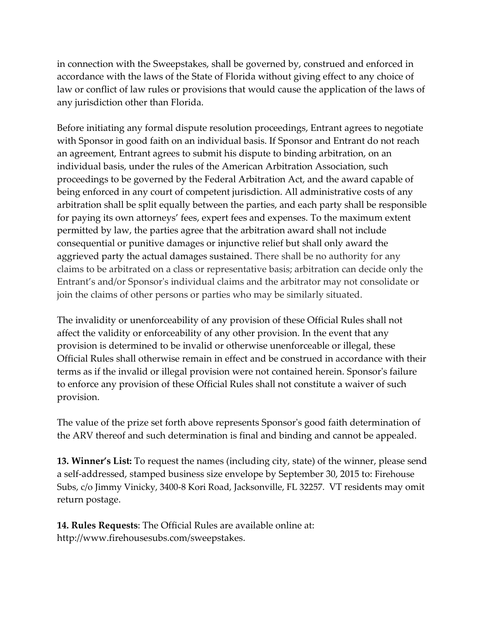in connection with the Sweepstakes, shall be governed by, construed and enforced in accordance with the laws of the State of Florida without giving effect to any choice of law or conflict of law rules or provisions that would cause the application of the laws of any jurisdiction other than Florida.

Before initiating any formal dispute resolution proceedings, Entrant agrees to negotiate with Sponsor in good faith on an individual basis. If Sponsor and Entrant do not reach an agreement, Entrant agrees to submit his dispute to binding arbitration, on an individual basis, under the rules of the American Arbitration Association, such proceedings to be governed by the Federal Arbitration Act, and the award capable of being enforced in any court of competent jurisdiction. All administrative costs of any arbitration shall be split equally between the parties, and each party shall be responsible for paying its own attorneys' fees, expert fees and expenses. To the maximum extent permitted by law, the parties agree that the arbitration award shall not include consequential or punitive damages or injunctive relief but shall only award the aggrieved party the actual damages sustained. There shall be no authority for any claims to be arbitrated on a class or representative basis; arbitration can decide only the Entrant's and/or Sponsor's individual claims and the arbitrator may not consolidate or join the claims of other persons or parties who may be similarly situated.

The invalidity or unenforceability of any provision of these Official Rules shall not affect the validity or enforceability of any other provision. In the event that any provision is determined to be invalid or otherwise unenforceable or illegal, these Official Rules shall otherwise remain in effect and be construed in accordance with their terms as if the invalid or illegal provision were not contained herein. Sponsor's failure to enforce any provision of these Official Rules shall not constitute a waiver of such provision.

The value of the prize set forth above represents Sponsor's good faith determination of the ARV thereof and such determination is final and binding and cannot be appealed.

**13. Winner's List:** To request the names (including city, state) of the winner, please send a self-addressed, stamped business size envelope by September 30, 2015 to: Firehouse Subs, c/o Jimmy Vinicky, 3400-8 Kori Road, Jacksonville, FL 32257. VT residents may omit return postage.

**14. Rules Requests**: The Official Rules are available online at: http://www.firehousesubs.com/sweepstakes.